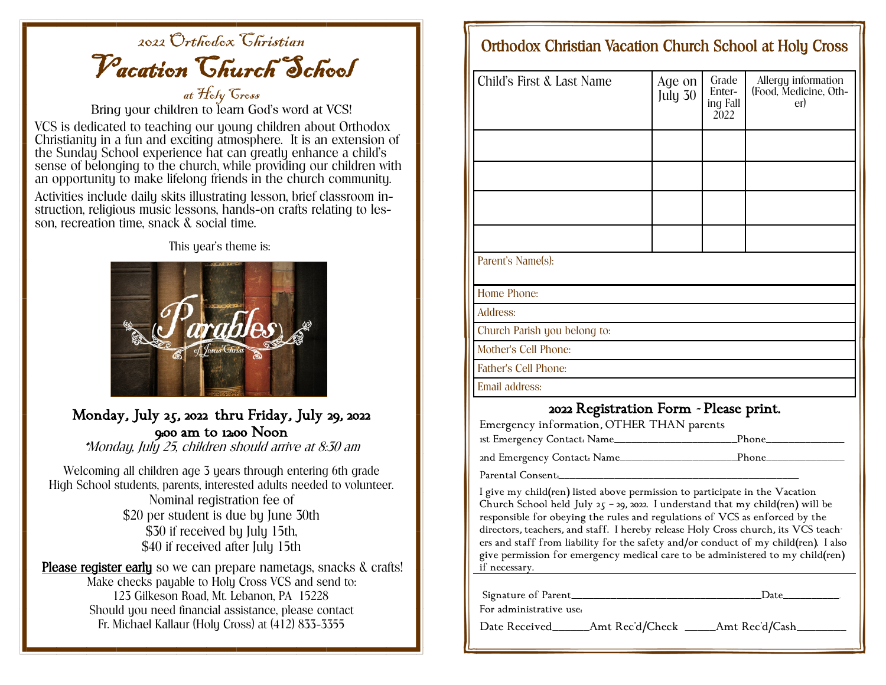## 2022 Orthodox Christian Vacation Church School

at *Hely Gress*<br>Bring your children to learn God's word at VCS!

VCS is dedicated to teaching our young children about Orthodox Christianity in a fun and exciting atmosphere. It is an extension of the Sunday School experience hat can greatly enhance a child's sense of belonging to the church, while providing our children with an opportunity to make lifelong friends in the church community.

Activities include daily skits illustrating lesson, brief classroom instruction, religious music lessons, hands-on crafts relating to lesson, recreation time, snack & social time.

This year's theme is:



## Monday, July 25, 2022 thru Friday, July 29, 2022 9:00 am to 12:00 Noon

\*Monday, July 25, children should arrive at 8:30 am

Welcoming all children age 3 years through entering 6th grade High School students, parents, interested adults needed to volunteer. Nominal registration fee of \$20 per student is due by June 30th \$30 if received by July 15th, \$40 if received after July 15th

Please register early so we can prepare nametags, snacks & crafts! Make checks payable to Holy Cross VCS and send to: 123 Gilkeson Road, Mt. Lebanon, PA 15228 Should you need financial assistance, please contact Fr. Michael Kallaur (Holy Cross) at (412) 833-3355

## Orthodox Christian Vacation Church School at Holy Cross

| <b>Child's First &amp; Last Name</b>                                                                                                                                                                                                                                                                                                                                                                                                                                                                                         | Age on<br>July 30 | Grade<br>Enter-<br>ing Fall<br>2022 | Allergy information<br>(Food, Medicine, Oth-<br>er) |  |  |
|------------------------------------------------------------------------------------------------------------------------------------------------------------------------------------------------------------------------------------------------------------------------------------------------------------------------------------------------------------------------------------------------------------------------------------------------------------------------------------------------------------------------------|-------------------|-------------------------------------|-----------------------------------------------------|--|--|
|                                                                                                                                                                                                                                                                                                                                                                                                                                                                                                                              |                   |                                     |                                                     |  |  |
|                                                                                                                                                                                                                                                                                                                                                                                                                                                                                                                              |                   |                                     |                                                     |  |  |
|                                                                                                                                                                                                                                                                                                                                                                                                                                                                                                                              |                   |                                     |                                                     |  |  |
|                                                                                                                                                                                                                                                                                                                                                                                                                                                                                                                              |                   |                                     |                                                     |  |  |
| Parent's Name(s):                                                                                                                                                                                                                                                                                                                                                                                                                                                                                                            |                   |                                     |                                                     |  |  |
| Home Phone:                                                                                                                                                                                                                                                                                                                                                                                                                                                                                                                  |                   |                                     |                                                     |  |  |
| Address:                                                                                                                                                                                                                                                                                                                                                                                                                                                                                                                     |                   |                                     |                                                     |  |  |
| Church Parish you belong to:                                                                                                                                                                                                                                                                                                                                                                                                                                                                                                 |                   |                                     |                                                     |  |  |
| Mother's Cell Phone:                                                                                                                                                                                                                                                                                                                                                                                                                                                                                                         |                   |                                     |                                                     |  |  |
| Father's Cell Phone:                                                                                                                                                                                                                                                                                                                                                                                                                                                                                                         |                   |                                     |                                                     |  |  |
| Email address:                                                                                                                                                                                                                                                                                                                                                                                                                                                                                                               |                   |                                     |                                                     |  |  |
| 2022 Registration Form - Please print.<br>Emergency information, OTHER THAN parents                                                                                                                                                                                                                                                                                                                                                                                                                                          |                   |                                     |                                                     |  |  |
|                                                                                                                                                                                                                                                                                                                                                                                                                                                                                                                              |                   |                                     |                                                     |  |  |
|                                                                                                                                                                                                                                                                                                                                                                                                                                                                                                                              |                   |                                     |                                                     |  |  |
| Parental Consent.                                                                                                                                                                                                                                                                                                                                                                                                                                                                                                            |                   |                                     |                                                     |  |  |
| I give my child(ren) listed above permission to participate in the Vacation<br>Church School held July 25 - 29, 2022. I understand that my child(ren) will be<br>responsible for obeying the rules and regulations of VCS as enforced by the<br>directors, teachers, and staff. I hereby release Holy Cross church, its VCS teach-<br>ers and staff from liability for the safety and/or conduct of my child(ren). I also<br>give permission for emergency medical care to be administered to my child(ren)<br>if necessary. |                   |                                     |                                                     |  |  |
| For administrative use.                                                                                                                                                                                                                                                                                                                                                                                                                                                                                                      |                   |                                     | $Date$ and $\Box$                                   |  |  |
| Date Received_______Amt Rec'd/Check _____Amt Rec'd/Cash_______                                                                                                                                                                                                                                                                                                                                                                                                                                                               |                   |                                     |                                                     |  |  |